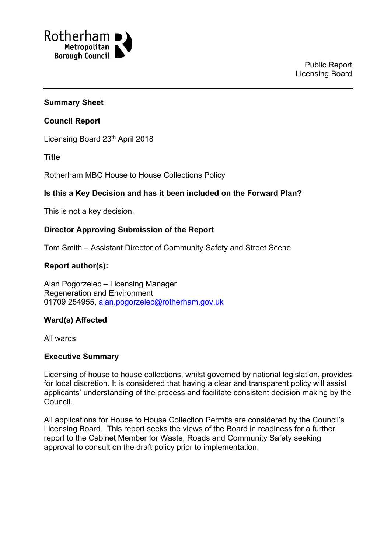

Public Report Licensing Board

#### **Summary Sheet**

#### **Council Report**

Licensing Board 23<sup>th</sup> April 2018

**Title**

Rotherham MBC House to House Collections Policy

### **Is this a Key Decision and has it been included on the Forward Plan?**

This is not a key decision.

### **Director Approving Submission of the Report**

Tom Smith – Assistant Director of Community Safety and Street Scene

### **Report author(s):**

Alan Pogorzelec – Licensing Manager Regeneration and Environment 01709 254955, [alan.pogorzelec@rotherham.gov.uk](mailto:alan.pogorzelec@rotherham.gov.uk)

### **Ward(s) Affected**

All wards

#### **Executive Summary**

Licensing of house to house collections, whilst governed by national legislation, provides for local discretion. It is considered that having a clear and transparent policy will assist applicants' understanding of the process and facilitate consistent decision making by the Council.

All applications for House to House Collection Permits are considered by the Council's Licensing Board. This report seeks the views of the Board in readiness for a further report to the Cabinet Member for Waste, Roads and Community Safety seeking approval to consult on the draft policy prior to implementation.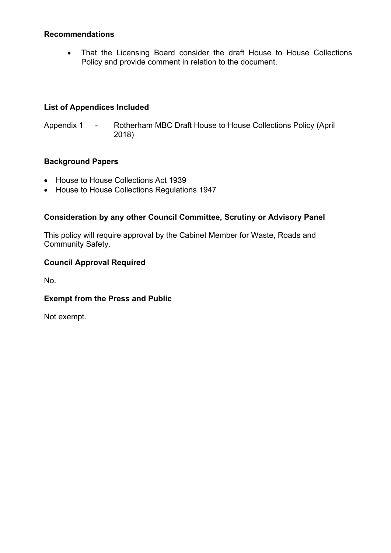### **Recommendations**

• That the Licensing Board consider the draft House to House Collections Policy and provide comment in relation to the document.

### **List of Appendices Included**

Appendix 1 - Rotherham MBC Draft House to House Collections Policy (April 2018)

### **Background Papers**

- House to House Collections Act 1939
- House to House Collections Regulations 1947

### **Consideration by any other Council Committee, Scrutiny or Advisory Panel**

This policy will require approval by the Cabinet Member for Waste, Roads and Community Safety.

### **Council Approval Required**

No.

### **Exempt from the Press and Public**

Not exempt.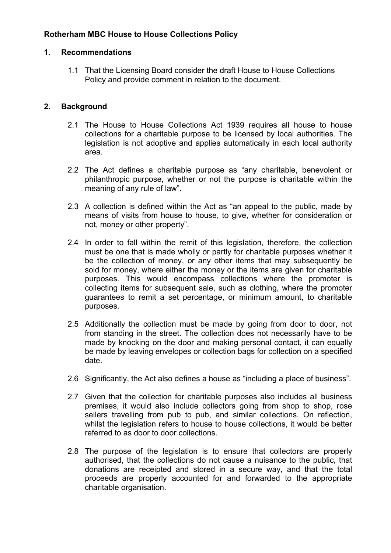# **Rotherham MBC House to House Collections Policy**

#### **1. Recommendations**

1.1 That the Licensing Board consider the draft House to House Collections Policy and provide comment in relation to the document.

### **2. Background**

- 2.1 The House to House Collections Act 1939 requires all house to house collections for a charitable purpose to be licensed by local authorities. The legislation is not adoptive and applies automatically in each local authority area.
- 2.2 The Act defines a charitable purpose as "any charitable, benevolent or philanthropic purpose, whether or not the purpose is charitable within the meaning of any rule of law".
- 2.3 A collection is defined within the Act as "an appeal to the public, made by means of visits from house to house, to give, whether for consideration or not, money or other property".
- 2.4 In order to fall within the remit of this legislation, therefore, the collection must be one that is made wholly or partly for charitable purposes whether it be the collection of money, or any other items that may subsequently be sold for money, where either the money or the items are given for charitable purposes. This would encompass collections where the promoter is collecting items for subsequent sale, such as clothing, where the promoter guarantees to remit a set percentage, or minimum amount, to charitable purposes.
- 2.5 Additionally the collection must be made by going from door to door, not from standing in the street. The collection does not necessarily have to be made by knocking on the door and making personal contact, it can equally be made by leaving envelopes or collection bags for collection on a specified date.
- 2.6 Significantly, the Act also defines a house as "including a place of business".
- 2.7 Given that the collection for charitable purposes also includes all business premises, it would also include collectors going from shop to shop, rose sellers travelling from pub to pub, and similar collections. On reflection, whilst the legislation refers to house to house collections, it would be better referred to as door to door collections.
- 2.8 The purpose of the legislation is to ensure that collectors are properly authorised, that the collections do not cause a nuisance to the public, that donations are receipted and stored in a secure way, and that the total proceeds are properly accounted for and forwarded to the appropriate charitable organisation.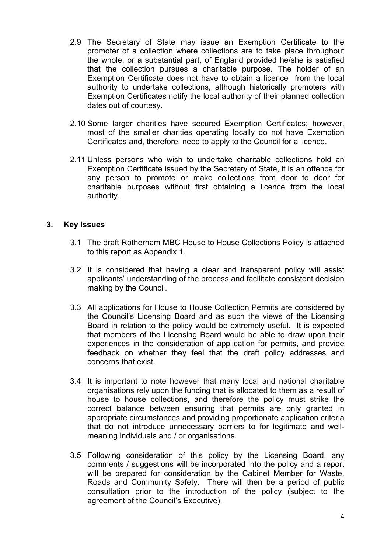- 2.9 The Secretary of State may issue an Exemption Certificate to the promoter of a collection where collections are to take place throughout the whole, or a substantial part, of England provided he/she is satisfied that the collection pursues a charitable purpose. The holder of an Exemption Certificate does not have to obtain a licence from the local authority to undertake collections, although historically promoters with Exemption Certificates notify the local authority of their planned collection dates out of courtesy.
- 2.10 Some larger charities have secured Exemption Certificates; however, most of the smaller charities operating locally do not have Exemption Certificates and, therefore, need to apply to the Council for a licence.
- 2.11 Unless persons who wish to undertake charitable collections hold an Exemption Certificate issued by the Secretary of State, it is an offence for any person to promote or make collections from door to door for charitable purposes without first obtaining a licence from the local authority.

### **3. Key Issues**

- 3.1 The draft Rotherham MBC House to House Collections Policy is attached to this report as Appendix 1.
- 3.2 It is considered that having a clear and transparent policy will assist applicants' understanding of the process and facilitate consistent decision making by the Council.
- 3.3 All applications for House to House Collection Permits are considered by the Council's Licensing Board and as such the views of the Licensing Board in relation to the policy would be extremely useful. It is expected that members of the Licensing Board would be able to draw upon their experiences in the consideration of application for permits, and provide feedback on whether they feel that the draft policy addresses and concerns that exist.
- 3.4 It is important to note however that many local and national charitable organisations rely upon the funding that is allocated to them as a result of house to house collections, and therefore the policy must strike the correct balance between ensuring that permits are only granted in appropriate circumstances and providing proportionate application criteria that do not introduce unnecessary barriers to for legitimate and wellmeaning individuals and / or organisations.
- 3.5 Following consideration of this policy by the Licensing Board, any comments / suggestions will be incorporated into the policy and a report will be prepared for consideration by the Cabinet Member for Waste, Roads and Community Safety. There will then be a period of public consultation prior to the introduction of the policy (subject to the agreement of the Council's Executive).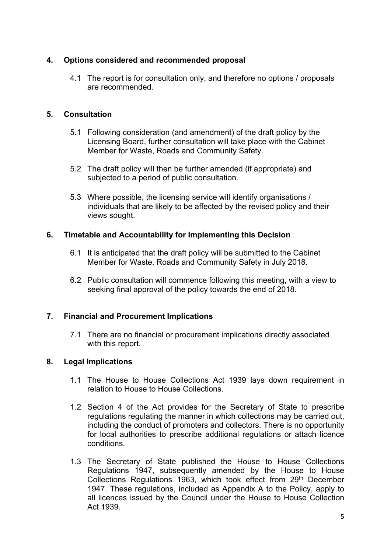# **4. Options considered and recommended proposal**

4.1 The report is for consultation only, and therefore no options / proposals are recommended.

# **5. Consultation**

- 5.1 Following consideration (and amendment) of the draft policy by the Licensing Board, further consultation will take place with the Cabinet Member for Waste, Roads and Community Safety.
- 5.2 The draft policy will then be further amended (if appropriate) and subjected to a period of public consultation.
- 5.3 Where possible, the licensing service will identify organisations / individuals that are likely to be affected by the revised policy and their views sought.

# **6. Timetable and Accountability for Implementing this Decision**

- 6.1 It is anticipated that the draft policy will be submitted to the Cabinet Member for Waste, Roads and Community Safety in July 2018.
- 6.2 Public consultation will commence following this meeting, with a view to seeking final approval of the policy towards the end of 2018.

# **7. Financial and Procurement Implications**

7.1 There are no financial or procurement implications directly associated with this report.

# **8. Legal Implications**

- 1.1 The House to House Collections Act 1939 lays down requirement in relation to House to House Collections.
- 1.2 Section 4 of the Act provides for the Secretary of State to prescribe regulations regulating the manner in which collections may be carried out, including the conduct of promoters and collectors. There is no opportunity for local authorities to prescribe additional regulations or attach licence conditions.
- 1.3 The Secretary of State published the House to House Collections Regulations 1947, subsequently amended by the House to House Collections Regulations 1963, which took effect from 29th December 1947. These regulations, included as Appendix A to the Policy, apply to all licences issued by the Council under the House to House Collection Act 1939.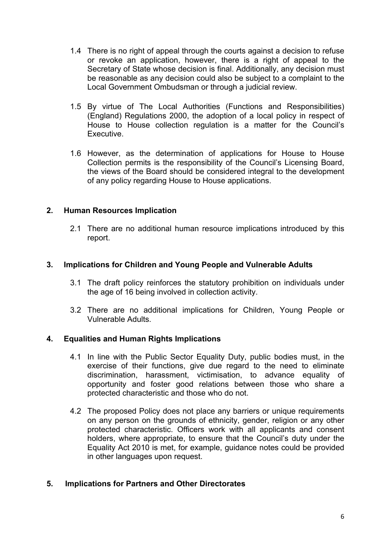- 1.4 There is no right of appeal through the courts against a decision to refuse or revoke an application, however, there is a right of appeal to the Secretary of State whose decision is final. Additionally, any decision must be reasonable as any decision could also be subject to a complaint to the Local Government Ombudsman or through a judicial review.
- 1.5 By virtue of The Local Authorities (Functions and Responsibilities) (England) Regulations 2000, the adoption of a local policy in respect of House to House collection regulation is a matter for the Council's Executive.
- 1.6 However, as the determination of applications for House to House Collection permits is the responsibility of the Council's Licensing Board, the views of the Board should be considered integral to the development of any policy regarding House to House applications.

### **2. Human Resources Implication**

2.1 There are no additional human resource implications introduced by this report.

### **3. Implications for Children and Young People and Vulnerable Adults**

- 3.1 The draft policy reinforces the statutory prohibition on individuals under the age of 16 being involved in collection activity.
- 3.2 There are no additional implications for Children, Young People or Vulnerable Adults.

# **4. Equalities and Human Rights Implications**

- 4.1 In line with the Public Sector Equality Duty, public bodies must, in the exercise of their functions, give due regard to the need to eliminate discrimination, harassment, victimisation, to advance equality of opportunity and foster good relations between those who share a protected characteristic and those who do not.
- 4.2 The proposed Policy does not place any barriers or unique requirements on any person on the grounds of ethnicity, gender, religion or any other protected characteristic. Officers work with all applicants and consent holders, where appropriate, to ensure that the Council's duty under the Equality Act 2010 is met, for example, guidance notes could be provided in other languages upon request.

# **5. Implications for Partners and Other Directorates**